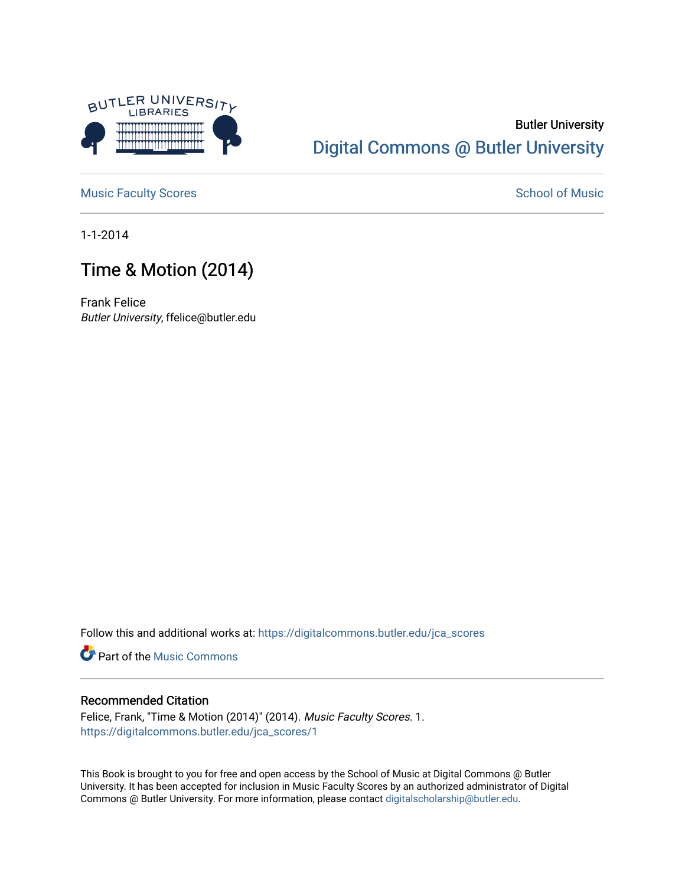

## Butler University [Digital Commons @ Butler University](https://digitalcommons.butler.edu/)

[Music Faculty Scores](https://digitalcommons.butler.edu/jca_scores) **School of Music** School of Music

1-1-2014

# Time & Motion (2014)

Frank Felice Butler University, ffelice@butler.edu

Follow this and additional works at: [https://digitalcommons.butler.edu/jca\\_scores](https://digitalcommons.butler.edu/jca_scores?utm_source=digitalcommons.butler.edu%2Fjca_scores%2F1&utm_medium=PDF&utm_campaign=PDFCoverPages)

**Part of the Music Commons** 

#### Recommended Citation

Felice, Frank, "Time & Motion (2014)" (2014). Music Faculty Scores. 1. [https://digitalcommons.butler.edu/jca\\_scores/1](https://digitalcommons.butler.edu/jca_scores/1?utm_source=digitalcommons.butler.edu%2Fjca_scores%2F1&utm_medium=PDF&utm_campaign=PDFCoverPages)

This Book is brought to you for free and open access by the School of Music at Digital Commons @ Butler University. It has been accepted for inclusion in Music Faculty Scores by an authorized administrator of Digital Commons @ Butler University. For more information, please contact [digitalscholarship@butler.edu](mailto:digitalscholarship@butler.edu).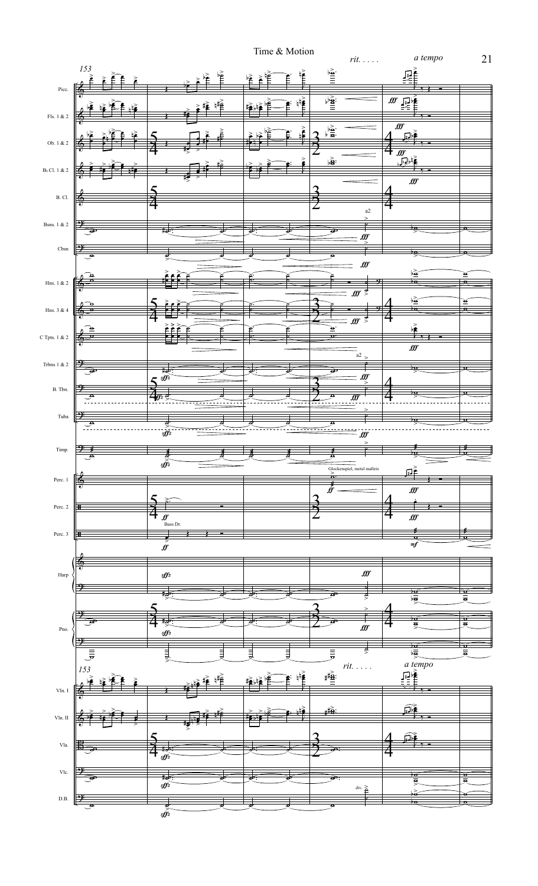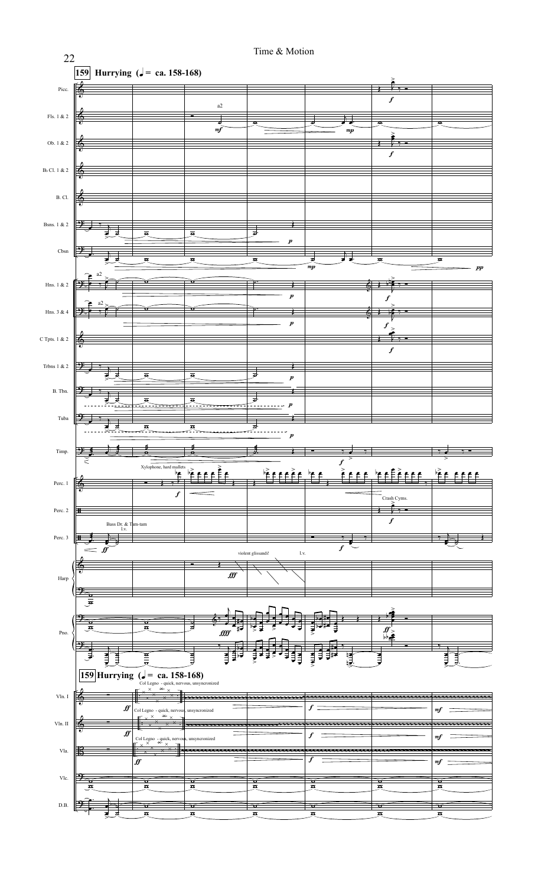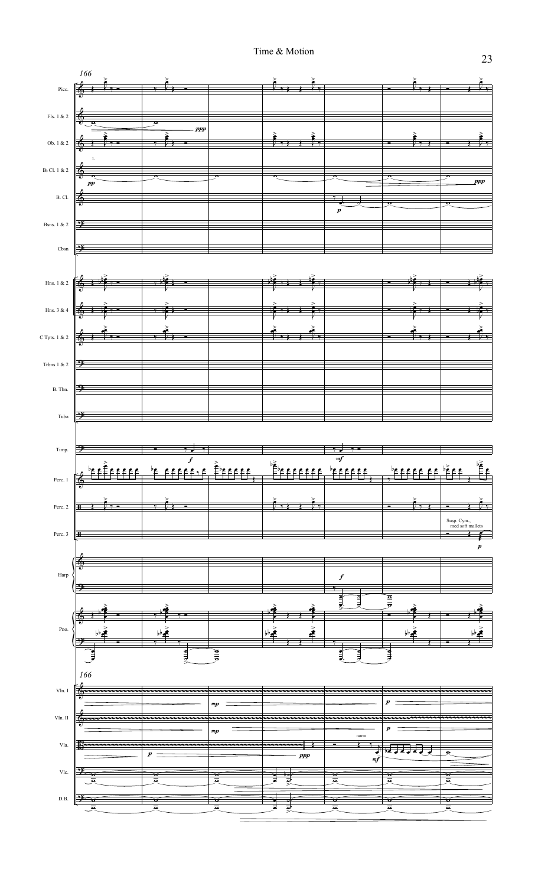

23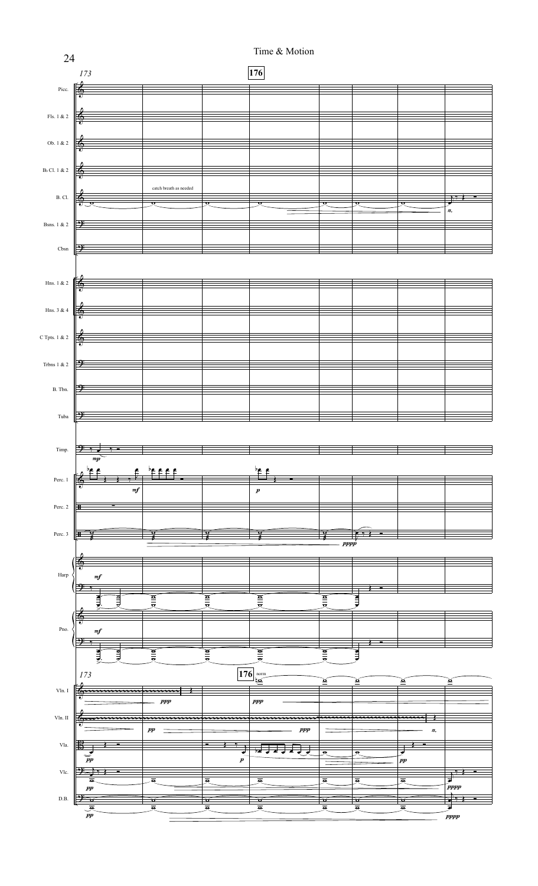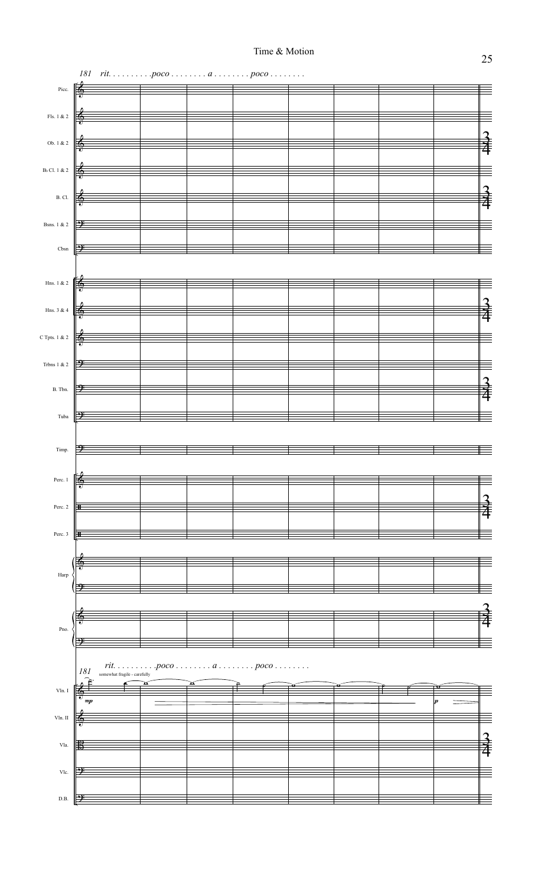### Time & Motion

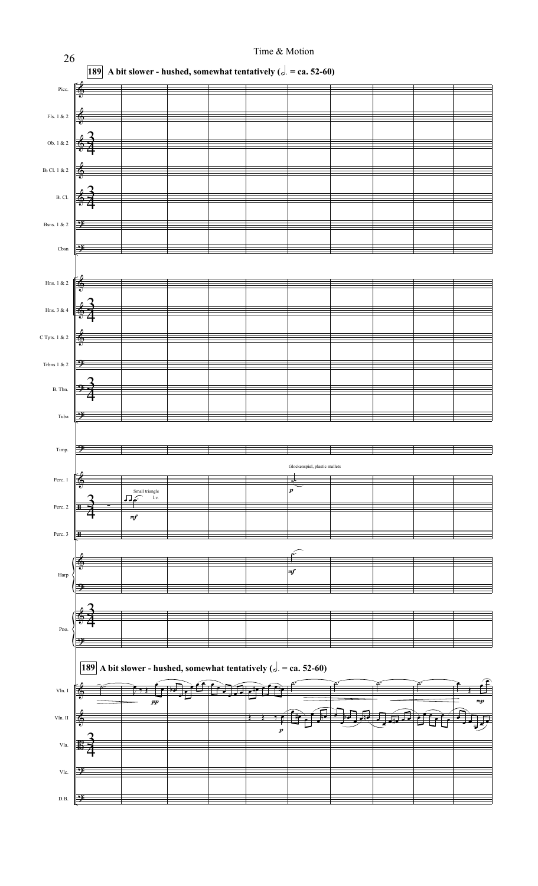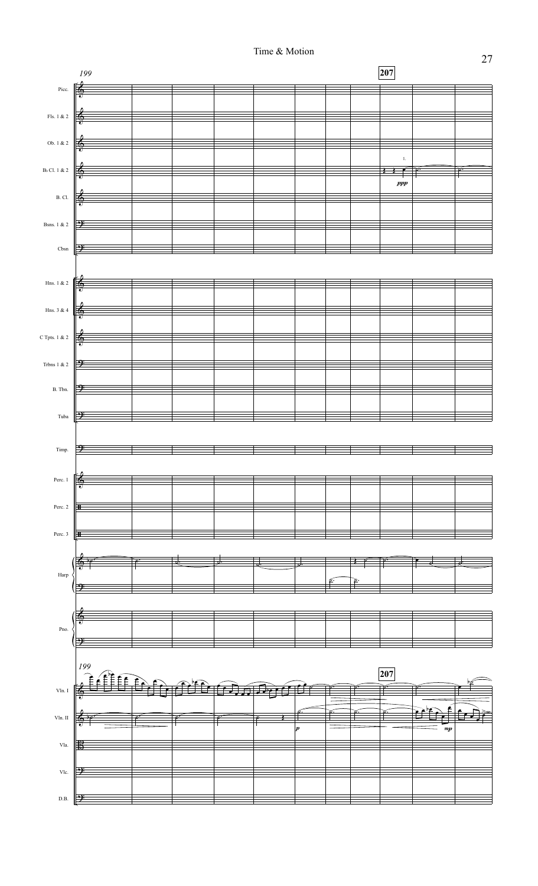

27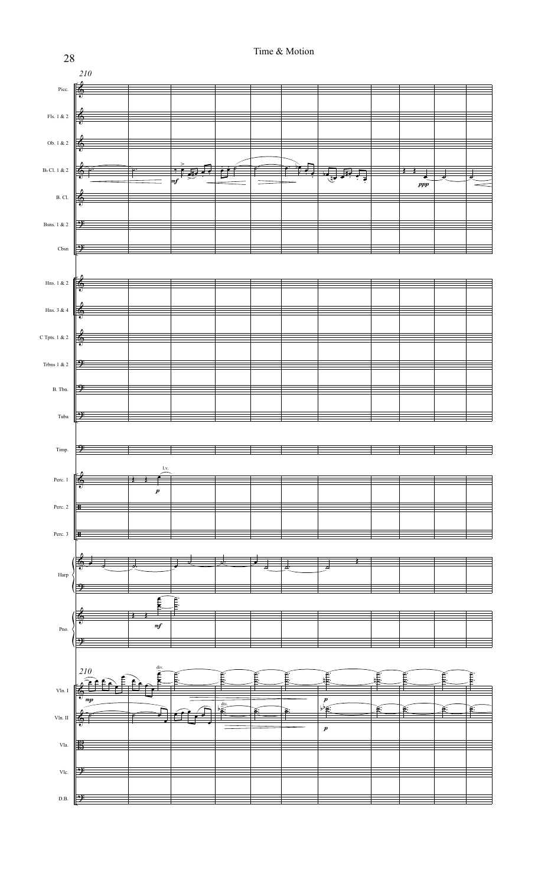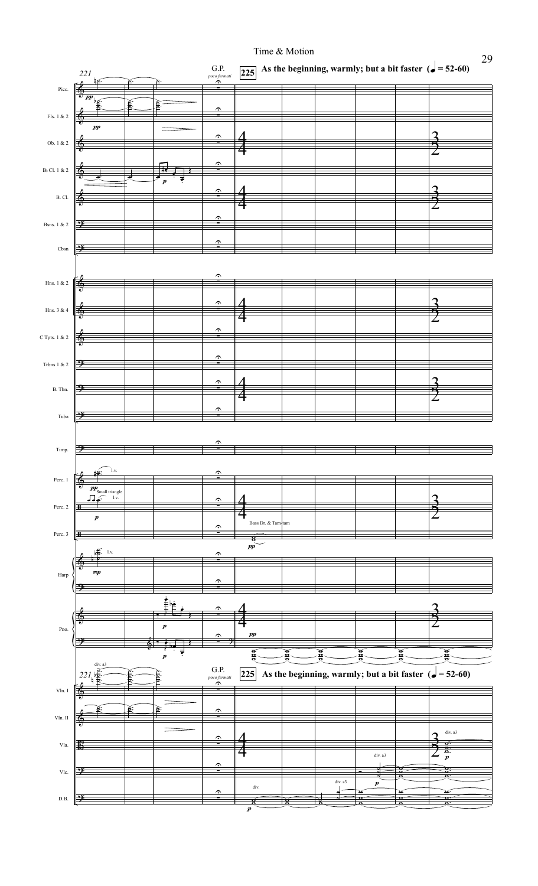### Time & Motion